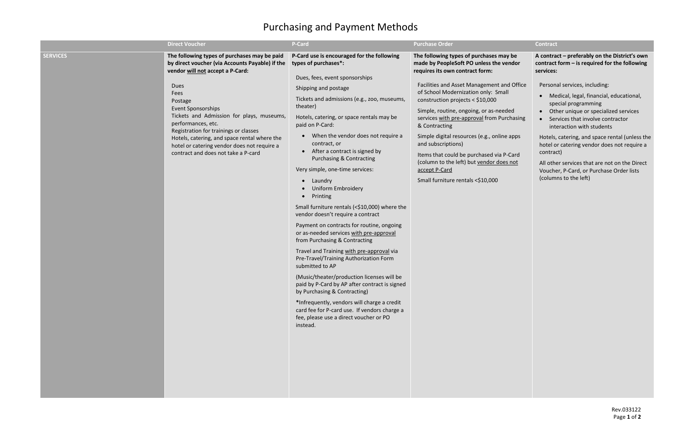## Purchasing and Payment Methods

|                 | <b>Direct Voucher</b>                                                                                                                                                                                                                                                                                                                                                                                                                  | <b>P-Card</b>                                                                                                                                                                                                                                                                                                                                                                                                                                                                                                                                                                                                                                                                                                                                                                                                                                                                                                                                                                                                                                                                                                                      | <b>Purchase Order</b>                                                                                                                                                                                                                                                                                                                                                                                                                                                                                                                                                       | <b>Contract</b>                                                                                                                                                                                                                                                                                                                                                                                                                                                                                                                                                     |
|-----------------|----------------------------------------------------------------------------------------------------------------------------------------------------------------------------------------------------------------------------------------------------------------------------------------------------------------------------------------------------------------------------------------------------------------------------------------|------------------------------------------------------------------------------------------------------------------------------------------------------------------------------------------------------------------------------------------------------------------------------------------------------------------------------------------------------------------------------------------------------------------------------------------------------------------------------------------------------------------------------------------------------------------------------------------------------------------------------------------------------------------------------------------------------------------------------------------------------------------------------------------------------------------------------------------------------------------------------------------------------------------------------------------------------------------------------------------------------------------------------------------------------------------------------------------------------------------------------------|-----------------------------------------------------------------------------------------------------------------------------------------------------------------------------------------------------------------------------------------------------------------------------------------------------------------------------------------------------------------------------------------------------------------------------------------------------------------------------------------------------------------------------------------------------------------------------|---------------------------------------------------------------------------------------------------------------------------------------------------------------------------------------------------------------------------------------------------------------------------------------------------------------------------------------------------------------------------------------------------------------------------------------------------------------------------------------------------------------------------------------------------------------------|
| <b>SERVICES</b> | The following types of purchases may be paid<br>by direct voucher (via Accounts Payable) if the<br>vendor will not accept a P-Card:<br>Dues<br>Fees<br>Postage<br>Event Sponsorships<br>Tickets and Admission for plays, museums,<br>performances, etc.<br>Registration for trainings or classes<br>Hotels, catering, and space rental where the<br>hotel or catering vendor does not require a<br>contract and does not take a P-card | P-Card use is encouraged for the following<br>types of purchases*:<br>Dues, fees, event sponsorships<br>Shipping and postage<br>Tickets and admissions (e.g., zoo, museums,<br>theater)<br>Hotels, catering, or space rentals may be<br>paid on P-Card:<br>When the vendor does not require a<br>$\bullet$<br>contract, or<br>• After a contract is signed by<br><b>Purchasing &amp; Contracting</b><br>Very simple, one-time services:<br>Laundry<br>$\bullet$<br><b>Uniform Embroidery</b><br>Printing<br>$\bullet$<br>Small furniture rentals (<\$10,000) where the<br>vendor doesn't require a contract<br>Payment on contracts for routine, ongoing<br>or as-needed services with pre-approval<br>from Purchasing & Contracting<br>Travel and Training with pre-approval via<br>Pre-Travel/Training Authorization Form<br>submitted to AP<br>(Music/theater/production licenses will be<br>paid by P-Card by AP after contract is signed<br>by Purchasing & Contracting)<br>*Infrequently, vendors will charge a credit<br>card fee for P-card use. If vendors charge a<br>fee, please use a direct voucher or PO<br>instead. | The following types of purchases may be<br>made by PeopleSoft PO unless the vendor<br>requires its own contract form:<br>Facilities and Asset Management and Office<br>of School Modernization only: Small<br>construction projects < $$10,000$<br>Simple, routine, ongoing, or as-needed<br>services with pre-approval from Purchasing<br>& Contracting<br>Simple digital resources (e.g., online apps<br>and subscriptions)<br>Items that could be purchased via P-Card<br>(column to the left) but vendor does not<br>accept P-Card<br>Small furniture rentals <\$10,000 | A contract - preferably on the District's own<br>contract form $-$ is required for the following<br>services:<br>Personal services, including:<br>• Medical, legal, financial, educational,<br>special programming<br>• Other unique or specialized services<br>• Services that involve contractor<br>interaction with students<br>Hotels, catering, and space rental (unless the<br>hotel or catering vendor does not require a<br>contract)<br>All other services that are not on the Direct<br>Voucher, P-Card, or Purchase Order lists<br>(columns to the left) |